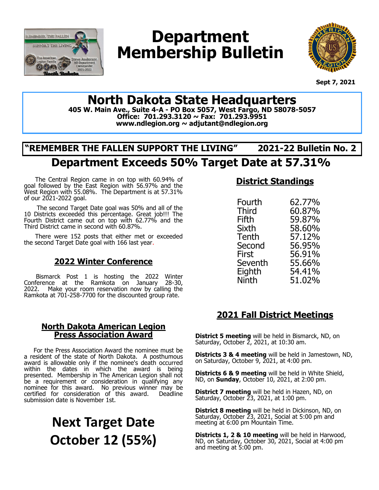

# **Department Membership Bulletin**



 **Sept 7, 2021**

## **North Dakota State Headquarters**

**405 W. Main Ave., Suite 4-A - PO Box 5057, West Fargo, ND 58078-5057 Office: 701.293.3120 ~ Fax: 701.293.9951 www.ndlegion.org ~ adjutant@ndlegion.org**

## **"REMEMBER THE FALLEN SUPPORT THE LIVING" 2021-22 Bulletin No. 2**

## **Department Exceeds 50% Target Date at 57.31%**

The Central Region came in on top with 60.94% of goal followed by the East Region with 56.97% and the West Region with 55.08%. The Department is at 57.31% of our 2021-2022 goal.

The second Target Date goal was 50% and all of the 10 Districts exceeded this percentage. Great job!!! The Fourth District came out on top with 62.77% and the Third District came in second with 60.87%.

There were 152 posts that either met or exceeded the second Target Date goal with 166 last year.

#### **2022 Winter Conference**

Bismarck Post 1 is hosting the 2022 Winter Conference at the Ramkota on January 28-30, 2022. Make your room reservation now by calling the Ramkota at 701-258-7700 for the discounted group rate.

#### **North Dakota American Legion Press Association Award**

 For the Press Association Award the nominee must be a resident of the state of North Dakota. A posthumous award is allowable only if the nominee's death occurred within the dates in which the award is being presented. Membership in The American Legion shall not be a requirement or consideration in qualifying any nominee for this award. No previous winner may be certified for consideration of this award. Deadline submission date is November 1st.

# **Next Target Date October 12 (55%)**

### **District Standings**

| Fourth       | 62.77% |
|--------------|--------|
| Third        | 60.87% |
| Fifth        | 59.87% |
| Sixth        | 58.60% |
| Tenth        | 57.12% |
| Second       | 56.95% |
| <b>First</b> | 56.91% |
|              |        |
| Seventh      | 55.66% |
| Eighth       | 54.41% |
| Ninth        | 51.02% |
|              |        |

### **2021 Fall District Meetings**

**District 5 meeting** will be held in Bismarck, ND, on Saturday, October 2, 2021, at 10:30 am.

**Districts 3 & 4 meeting** will be held in Jamestown, ND, on Saturday, October 9, 2021, at 4:00 pm.

**Districts 6 & 9 meeting** will be held in White Shield, ND, on **Sunday**, October 10, 2021, at 2:00 pm.

**District 7 meeting** will be held in Hazen, ND, on Saturday, October 23, 2021, at 1:00 pm.

**District 8 meeting** will be held in Dickinson, ND, on Saturday, October 23, 2021, Social at 5:00 pm and meeting at 6:00 pm Mountain Time.

**Districts 1, 2 & 10 meeting** will be held in Harwood, ND, on Saturday, October 30, 2021, Social at 4:00 pm and meeting at 5:00 pm.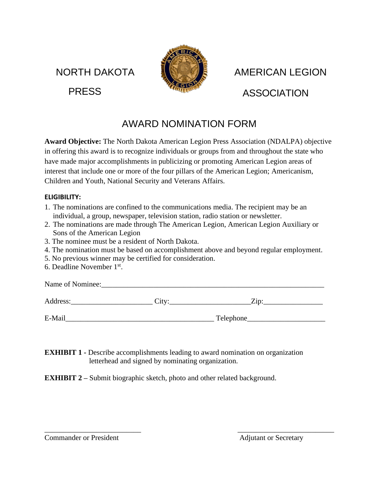NORTH DAKOTA PRESS



 AMERICAN LEGION ASSOCIATION

## AWARD NOMINATION FORM

**Award Objective:** The North Dakota American Legion Press Association (NDALPA) objective in offering this award is to recognize individuals or groups from and throughout the state who have made major accomplishments in publicizing or promoting American Legion areas of interest that include one or more of the four pillars of the American Legion; Americanism, Children and Youth, National Security and Veterans Affairs.

#### **ELIGIBILITY:**

- 1. The nominations are confined to the communications media. The recipient may be an individual, a group, newspaper, television station, radio station or newsletter.
- 2. The nominations are made through The American Legion, American Legion Auxiliary or Sons of the American Legion
- 3. The nominee must be a resident of North Dakota.
- 4. The nomination must be based on accomplishment above and beyond regular employment.
- 5. No previous winner may be certified for consideration.
- 6. Deadline November 1st .

Name of Nominee:

Address: City: City: Zip:

E-Mail\_\_\_\_\_\_\_\_\_\_\_\_\_\_\_\_\_\_\_\_\_\_\_\_\_\_\_\_\_\_\_\_\_\_\_\_\_\_\_\_ Telephone\_\_\_\_\_\_\_\_\_\_\_\_\_\_\_\_\_\_\_\_\_

**EXHIBIT 1 -** Describe accomplishments leading to award nomination on organization letterhead and signed by nominating organization.

 $\overline{\phantom{a}}$  , and the contract of the contract of the contract of the contract of the contract of the contract of the contract of the contract of the contract of the contract of the contract of the contract of the contrac

**EXHIBIT 2** – Submit biographic sketch, photo and other related background.

Commander or President **Adjutant or Secretary**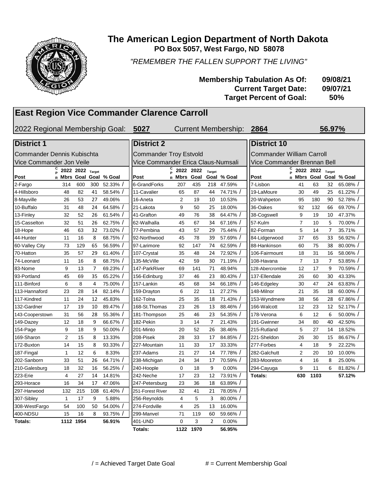

#### **The American Legion Department of North Dakota PO Box 5057, West Fargo, ND 58078**

*"REMEMBER THE FALLEN SUPPORT THE LIVING"*

| <b>Membership Tabulation As Of:</b> | 09/08/21   |
|-------------------------------------|------------|
| <b>Current Target Date:</b>         | 09/07/21   |
| <b>Target Percent of Goal:</b>      | <b>50%</b> |

#### **East Region Vice Commander Clarence Carroll**

2022 Regional Membership Goal: **5027 2864**

Current Membership: 2864 56.97%

| <b>District 1</b>          |                                        |           |                | <b>District 2</b>             |                                    |                |           |                | <b>District 10</b>               |                             |                |                  |                |             |
|----------------------------|----------------------------------------|-----------|----------------|-------------------------------|------------------------------------|----------------|-----------|----------------|----------------------------------|-----------------------------|----------------|------------------|----------------|-------------|
| Commander Dennis Kubischta |                                        |           |                | <b>Commander Troy Estvold</b> |                                    |                |           |                | <b>Commander William Carroll</b> |                             |                |                  |                |             |
| Vice Commander Jon Veile   |                                        |           |                |                               | Vice Commander Erica Claus-Numsali |                |           |                |                                  | Vice Commander Brennan Bell |                |                  |                |             |
|                            | $_{\circ}^{\text{C}}$ 2022 2022 Target |           |                |                               |                                    |                | 2022 2022 | Target         |                                  |                             | C<br>P         | 2022 2022 Target |                |             |
| Post                       | R Mbrs Goal                            |           |                | Goal % Goal                   | Post                               | R Mbrs         | Goal      |                | Goal % Goal                      | Post                        | R Mbrs Goal    |                  |                | Goal % Goal |
| 2-Fargo                    | 314                                    | 600       | 300            | 52.33%                        | 6-GrandForks                       | 207            | 435       | 218            | 47.59%                           | 7-Lisbon                    | 41             | 63               | 32             | 65.08% /    |
| 4-Hillsboro                | 48                                     | 82        | 41             | 58.54%                        | 11-Cavalier                        | 65             | 87        | 44             | 74.71%                           | 19-LaMoure                  | 30             | 49               | 25             | 61.22%      |
| 8-Mayville                 | 26                                     | 53        | 27             | 49.06%                        | 16-Aneta                           | 2              | 19        | 10             | 10.53%                           | 20-Wahpeton                 | 95             | 180              | 90             | 52.78%      |
| 10-Buffalo                 | 31                                     | 48        | 24             | 64.58%                        | 21-Lakota                          | 9              | 50        | 25             | 18.00%                           | 36-Oakes                    | 92             | 132              | 66             | 69.70% /    |
| 13-Finley                  | 32                                     | 52        | 26             | 61.54%                        | 41-Grafton                         | 49             | 76        | 38             | 64.47% /                         | 38-Cogswell                 | 9              | 19               | 10             | 47.37%      |
| 15-Casselton               | 32                                     | 51        | 26             | 62.75%                        | 62-Walhalla                        | 45             | 67        | 34             | 67.16% /                         | 57-Kulm                     | $\overline{7}$ | 10               | 5              | 70.00% /    |
| 18-Hope                    | 46                                     | 63        | 32             | 73.02%                        | 77-Pembina                         | 43             | 57        | 29             | 75.44% /                         | 82-Forman                   | 5              | 14               | $\overline{7}$ | 35.71%      |
| 44-Hunter                  | 11                                     | 16        | 8              | 68.75% /                      | 92-Northwood                       | 45             | 78        | 39             | 57.69% /                         | 84-Lidgerwood               | 37             | 65               | 33             | 56.92% /    |
| 60-Valley City             | 73                                     | 129       | 65             | 56.59% /                      | 97-Larimore                        | 92             | 147       | 74             | 62.59% /                         | 88-Hankinson                | 60             | 75               | 38             | 80.00%/     |
| 70-Hatton                  | 35                                     | 57        | 29             | 61.40%                        | 107-Crystal                        | 35             | 48        | 24             | 72.92% /                         | 106-Fairmount               | 18             | 31               | 16             | 58.06% /    |
| 74-Leonard                 | 11                                     | 16        | 8              | 68.75%                        | 135-McVille                        | 42             | 59        | 30             | 71.19% /                         | 108-Havana                  | $\overline{7}$ | 13               | 7              | 53.85% /    |
| 83-Nome                    | 9                                      | 13        | $\overline{7}$ | 69.23%                        | 147-ParkRiver                      | 69             | 141       | 71             | 48.94%                           | 128-Abercrombie             | 12             | 17               | 9              | 70.59% /    |
| 93-Portland                | 45                                     | 69        | 35             | 65.22%                        | 156-Edinburg                       | 37             | 46        | 23             | 80.43% /                         | 137-Ellendale               | 26             | 60               | 30             | 43.33%      |
| 111-Binford                | 6                                      | 8         | $\overline{4}$ | 75.00%                        | 157-Lankin                         | 45             | 68        | 34             | 66.18%                           | 146-Edgeley                 | 30             | 47               | 24             | 63.83% /    |
| 113-Hannaford              | 23                                     | 28        | 14             | 82.14%                        | 159-Drayton                        | 6              | 22        | 11             | 27.27%                           | 148-Milnor                  | 21             | 35               | 18             | 60.00% /    |
| 117-Kindred                | 11                                     | 24        | 12             | 45.83%                        | 162-Tolna                          | 25             | 35        | 18             | 71.43% /                         | 153-Wyndmere                | 38             | 56               | 28             | 67.86% /    |
| 132-Gardner                | 17                                     | 19        | 10             | 89.47%                        | 168-St. Thomas                     | 23             | 26        | 13             | 88.46%                           | 166-Walcott                 | 12             | 23               | 12             | 52.17% /    |
| 143-Cooperstown            | 31                                     | 56        | 28             | 55.36%                        | 181-Thompson                       | 25             | 46        | 23             | 54.35% /                         | 178-Verona                  | 6              | 12               | 6              | 50.00% /    |
| 149-Dazey                  | 12                                     | 18        | 9              | 66.67%                        | 182-Pekin                          | 3              | 14        | $\overline{7}$ | 21.43%                           | 191-Gwinner                 | 34             | 80               | 40             | 42.50%      |
| 154-Page                   | 9                                      | 18        | 9              | 50.00%                        | 201-Minto                          | 20             | 52        | 26             | 38.46%                           | 215-Rutland                 | 5              | 27               | 14             | 18.52%      |
| 169-Sharon                 | $\overline{2}$                         | 15        | 8              | 13.33%                        | 208-Pisek                          | 28             | 33        | 17             | 84.85% /                         | 221-Sheldon                 | 26             | 30               | 15             | 86.67% /    |
| 172-Buxton                 | 14                                     | 15        | 8              | 93.33%                        | 227-Mountain                       | 11             | 33        | 17             | 33.33%                           | 277-Forbes                  | 4              | 18               | 9              | 22.22%      |
| 187-Fingal                 | $\mathbf{1}$                           | 12        | 6              | 8.33%                         | 237-Adams                          | 21             | 27        | 14             | 77.78% /                         | 282-Galchutt                | $\overline{2}$ | 20               | 10             | 10.00%      |
| 202-Sanborn                | 33                                     | 51        | 26             | 64.71%                        | 238-Michigan                       | 24             | 34        | 17             | 70.59% /                         | 283-Mooreton                | 4              | 16               | 8              | 25.00%      |
| 210-Galesburg              | 18                                     | 32        | 16             | 56.25%                        | 240-Hoople                         | 0              | 18        | 9              | 0.00%                            | 294-Cayuga                  | 9              | 11               | 6              | 81.82% /    |
| 223-Erie                   | 4                                      | 27        | 14             | 14.81%                        | 242-Neche                          | 17             | 23        | 12             | 73.91% /                         | Totals:                     | 630            | 1103             |                | 57.12%      |
| 293-Horace                 | 16                                     | 34        | 17             | 47.06%                        | 247-Petersburg                     | 23             | 36        | 18             | 63.89% /                         |                             |                |                  |                |             |
| 297-Harwood                | 132                                    | 215       | 108            | 61.40%                        | 251-Forest River                   | 32             | 41        | 21             | 78.05% /                         |                             |                |                  |                |             |
| 307-Sibley                 | 1                                      | 17        | 9              | 5.88%                         | 256-Reynolds                       | $\overline{4}$ | 5         | 3              | 80.00% /                         |                             |                |                  |                |             |
| 308-WestFargo              | 54                                     | 100       | 50             | 54.00%                        | 274-Fordville                      | $\overline{4}$ | 25        | 13             | 16.00%                           |                             |                |                  |                |             |
| 400-NDSU                   | 15                                     | 16        | 8              | 93.75%                        | 299-Manvel                         | 71             | 119       | 60             | 59.66%                           |                             |                |                  |                |             |
| Totals:                    |                                        | 1112 1954 |                | 56.91%                        | 401-UND                            | $\Omega$       | 3         | $\overline{2}$ | 0.00%                            |                             |                |                  |                |             |

**Totals: 1122 1970 56.95%**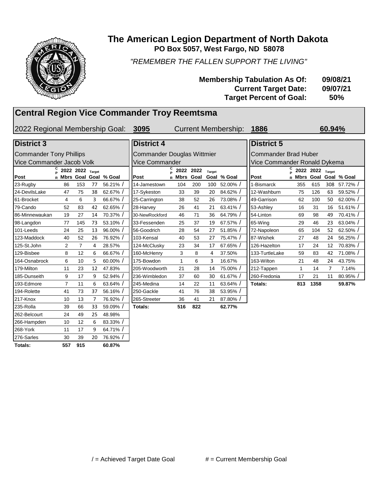

#### **PO Box 5057, West Fargo, ND 58078 The American Legion Department of North Dakota**

*"REMEMBER THE FALLEN SUPPORT THE LIVING"*

| <b>Membership Tabulation As Of:</b> | 09/08/21   |
|-------------------------------------|------------|
| <b>Current Target Date:</b>         | 09/07/21   |
| <b>Target Percent of Goal:</b>      | <b>50%</b> |

#### **Central Region Vice Commander Troy Reemtsma**

2022 Regional Membership Goal: 3095

Current Membership: **1886** 60.94%

#### **Post C P 2022 2022 Target R Mbrs Goal Goal % Goal Post** 23-Rugby 86 153 77 56.21% / 14-Jamestown 104 200 100 52.00% / 1-Bismarck 355 615 308 57.72% / 24-DevilsLake 47 75 38 62.67% / 17-Sykeston 33 39 20 84.62% / 12-Washburn 75 126 63 59.52% / 61-Brocket 4 6 3 66.67% | 25-Carrington 38 52 26 73.08% | 49-Garrison 62 100 50 62.00% / 79-Cando 52 83 42 62.65% / ||28-Harvey 26 41 21 63.41% / ||53-Ashley 16 31 16 51.61% / 86-Minnewaukan 19 27 14 70.37% / 30-NewRockford 46 71 36 64.79% / 54-Linton 69 98 49 70.41% / 98-Langdon 77 145 73 53.10% / ||33-Fessenden 25 37 19 67.57% / ||65-Wing 29 46 23 63.04% / 101-Leeds 24 25 13 96.00% | 56-Goodrich 28 54 27 51.85% | 72-Napoleon 65 104 52 62.50% / 123-Maddock 40 52 26 76.92% | 103-Kensal 40 53 27 75.47% | 87-Wishek 27 48 24 56.25% / 125-St.John 2 7 4 28.57% 124-McClusky 23 34 17 67.65% 126-Hazelton 17 24 12 70.83% / 129-Bisbee 8 12 6 66.67% | 160-McHenry 3 8 4 37.50% | 133-TurtleLake 59 83 42 71.08% / 164-Osnabrock 6 10 5 60.00% / | 175-Bowdon 1 6 3 16.67% | 163-Wilton 21 48 24 43.75% 179-Milton 11 23 12 47.83% 205-Woodworth 21 28 14 75.00% 21212-Tappen 1 14 7 7.14% 185-Dunseith 9 17 9 52.94% / | | 236-Wimbledon 37 60 30 61.67% / | | 260-Fredonia 17 21 11 80.95% / 193-Edmore 7 11 6 63.64% / 245-Medina 14 22 11 63.64% / **Totals: 813 1358 59.87%** 194-Rolette 41 73 37 56.16% / 250-Gackle 41 76 38 53.95% / 217-Knox 10 13 7 76.92% / 265-Streeter 36 41 21 87.80% / 235-Rolla 39 66 33 59.09% / **Totals: 516 822 62.77%** 262-Belcourt 24 49 25 48.98% 266-Hampden 10 12 6 83.33% / 268-York 11 17 9 64.71% / 276-Sarles 30 39 20 76.92% / **Totals: 557 915 60.87%** Commander Tony Phillips Vice Commander Jacob Volk **District 3 District 4 District 5**

| <b>District 4</b>                 |        |              |              |                |             | Dis     |  |  |  |  |
|-----------------------------------|--------|--------------|--------------|----------------|-------------|---------|--|--|--|--|
| <b>Commander Douglas Wittmier</b> |        |              |              |                |             |         |  |  |  |  |
| <b>Vice Commander</b>             |        |              |              |                |             |         |  |  |  |  |
| Post                              | С<br>R | 2022<br>Mbrs | 2022<br>Goal | Target<br>Goal | % Goal      | Post    |  |  |  |  |
| 14-Jamestown                      |        | 104          | 200          | 100            | $52.00\%$ / | 1-Bis   |  |  |  |  |
| 17-Sykeston                       |        | 33           | 39           | 20             | 84.62% /    | $12-N$  |  |  |  |  |
| 25-Carrington                     |        | 38           | 52           | 26             | 73.08% /    | 49-G    |  |  |  |  |
| 28-Harvey                         |        | 26           | 41           | 21             | 63.41% /    | 53-A    |  |  |  |  |
| 30-NewRockford                    |        | 46           | 71           | 36             | 64.79% /    | 54-Li   |  |  |  |  |
| 33-Fessenden                      |        | 25           | 37           | 19             | 67.57% /    | 65-V    |  |  |  |  |
| 56-Goodrich                       |        | 28           | 54           | 27             | 51.85% /    | 72-N    |  |  |  |  |
| 103-Kensal                        |        | 40           | 53           | 27             | 75.47% /    | 87-W    |  |  |  |  |
| 124-McClusky                      |        | 23           | 34           | 17             | 67.65% /    | $126 -$ |  |  |  |  |
| 160-McHenry                       |        | 3            | 8            | 4              | 37.50%      | $133 -$ |  |  |  |  |
| 175-Bowdon                        |        | 1            | 6            | 3              | 16.67%      | $163 -$ |  |  |  |  |
| 205-Woodworth                     |        | 21           | 28           | 14             | 75.00% /    | $212 -$ |  |  |  |  |
| 236-Wimbledon                     |        | 37           | 60           | 30             | 61.67% /    | 260-l   |  |  |  |  |
| 245-Medina                        |        | 14           | 22           | 11             | 63.64% /    | Tota    |  |  |  |  |
| 250-Gackle                        |        | 41           | 76           | 38             | 53.95% /    |         |  |  |  |  |
| 265-Streeter                      |        | 36           | 41           | 21             | 87.80% /    |         |  |  |  |  |
| Totals:                           |        | 516          | 822          |                | 62.77%      |         |  |  |  |  |

| <b>District 5</b>                    |   |             |      |                 |             |  |  |  |  |  |
|--------------------------------------|---|-------------|------|-----------------|-------------|--|--|--|--|--|
| <b>Commander Brad Huber</b>          |   |             |      |                 |             |  |  |  |  |  |
| Vice Commander Ronald Dykema         |   |             |      |                 |             |  |  |  |  |  |
| С<br>2022 2022<br><b>Target</b><br>Þ |   |             |      |                 |             |  |  |  |  |  |
| Post                                 | R | <b>Mbrs</b> | Goal | Goal            | % Goal      |  |  |  |  |  |
| 1-Bismarck                           |   | 355         | 615  | 308             | $57.72\%$ / |  |  |  |  |  |
| 12-Washburn                          |   | 75          | 126  | 63              | 59.52% /    |  |  |  |  |  |
| 49-Garrison                          |   | 62          | 100  | 50              | 62.00%/     |  |  |  |  |  |
| 53-Ashley                            |   | 16          | 31   | 16              | 51.61% /    |  |  |  |  |  |
| 54-Linton                            |   | 69          | 98   | 49              | 70.41% /    |  |  |  |  |  |
| 65-Wing                              |   | 29          | 46   | 23.             | 63.04% /    |  |  |  |  |  |
| 72-Napoleon                          |   | 65          | 104  | 52              | 62.50%/     |  |  |  |  |  |
| 87-Wishek                            |   | 27          | 48   | 24              | 56.25% /    |  |  |  |  |  |
| 126-Hazelton                         |   | 17          | 24   | 12 <sup>1</sup> | 70.83%/     |  |  |  |  |  |
| 133-TurtleLake                       |   | 59          | 83   | 42              | 71.08% /    |  |  |  |  |  |
| 163-Wilton                           |   | 21          | 48   | 24              | 43.75%      |  |  |  |  |  |
| 212-Tappen                           |   | 1           | 14   | 7               | 7.14%       |  |  |  |  |  |
| 260-Fredonia                         |   | 17          | 21   | 11              | 80.95%/     |  |  |  |  |  |
| Totals:                              |   | 813         | 1358 |                 | 59.87%      |  |  |  |  |  |